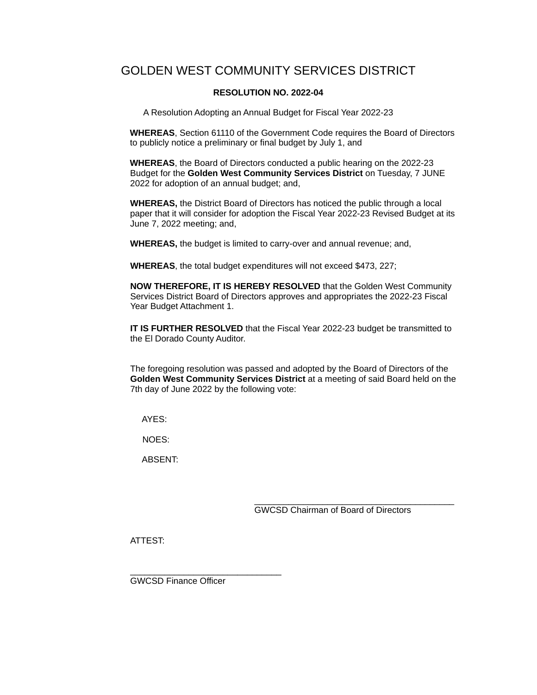## GOLDEN WEST COMMUNITY SERVICES DISTRICT

#### **RESOLUTION NO. 2022-04**

A Resolution Adopting an Annual Budget for Fiscal Year 2022-23

 **WHEREAS**, Section 61110 of the Government Code requires the Board of Directors to publicly notice a preliminary or final budget by July 1, and

 **WHEREAS**, the Board of Directors conducted a public hearing on the 2022-23 Budget for the **Golden West Community Services District** on Tuesday, 7 JUNE 2022 for adoption of an annual budget; and,

**WHEREAS,** the District Board of Directors has noticed the public through a local paper that it will consider for adoption the Fiscal Year 2022-23 Revised Budget at its June 7, 2022 meeting; and,

**WHEREAS,** the budget is limited to carry-over and annual revenue; and,

**WHEREAS**, the total budget expenditures will not exceed \$473, 227;

**NOW THEREFORE, IT IS HEREBY RESOLVED** that the Golden West Community Services District Board of Directors approves and appropriates the 2022-23 Fiscal Year Budget Attachment 1.

**IT IS FURTHER RESOLVED** that the Fiscal Year 2022-23 budget be transmitted to the El Dorado County Auditor.

The foregoing resolution was passed and adopted by the Board of Directors of the **Golden West Community Services District** at a meeting of said Board held on the 7th day of June 2022 by the following vote:

 $\frac{1}{2}$  ,  $\frac{1}{2}$  ,  $\frac{1}{2}$  ,  $\frac{1}{2}$  ,  $\frac{1}{2}$  ,  $\frac{1}{2}$  ,  $\frac{1}{2}$  ,  $\frac{1}{2}$  ,  $\frac{1}{2}$  ,  $\frac{1}{2}$  ,  $\frac{1}{2}$  ,  $\frac{1}{2}$  ,  $\frac{1}{2}$  ,  $\frac{1}{2}$  ,  $\frac{1}{2}$  ,  $\frac{1}{2}$  ,  $\frac{1}{2}$  ,  $\frac{1}{2}$  ,  $\frac{1$ 

AYES:

NOES:

ABSENT:

GWCSD Chairman of Board of Directors

ATTEST:

GWCSD Finance Officer

\_\_\_\_\_\_\_\_\_\_\_\_\_\_\_\_\_\_\_\_\_\_\_\_\_\_\_\_\_\_\_